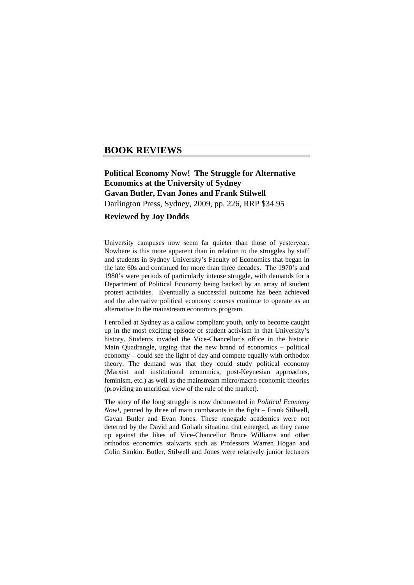## **BOOK REVIEWS**

## **Political Economy Now! The Struggle for Alternative Economics at the University of Sydney Gavan Butler, Evan Jones and Frank Stilwell**  Darlington Press, Sydney, 2009, pp. 226, RRP \$34.95

## **Reviewed by Joy Dodds**

University campuses now seem far quieter than those of yesteryear. Nowhere is this more apparent than in relation to the struggles by staff and students in Sydney University's Faculty of Economics that began in the late 60s and continued for more than three decades. The 1970's and 1980's were periods of particularly intense struggle, with demands for a Department of Political Economy being backed by an array of student protest activities. Eventually a successful outcome has been achieved and the alternative political economy courses continue to operate as an alternative to the mainstream economics program.

I enrolled at Sydney as a callow compliant youth, only to become caught up in the most exciting episode of student activism in that University's history. Students invaded the Vice-Chancellor's office in the historic Main Quadrangle, urging that the new brand of economics – political economy – could see the light of day and compete equally with orthodox theory. The demand was that they could study political economy (Marxist and institutional economics, post-Keynesian approaches, feminism, etc.) as well as the mainstream micro/macro economic theories (providing an uncritical view of the rule of the market).

The story of the long struggle is now documented in *Political Economy Now!*, penned by three of main combatants in the fight – Frank Stilwell, Gavan Butler and Evan Jones. These renegade academics were not deterred by the David and Goliath situation that emerged, as they came up against the likes of Vice-Chancellor Bruce Williams and other orthodox economics stalwarts such as Professors Warren Hogan and Colin Simkin. Butler, Stilwell and Jones were relatively junior lecturers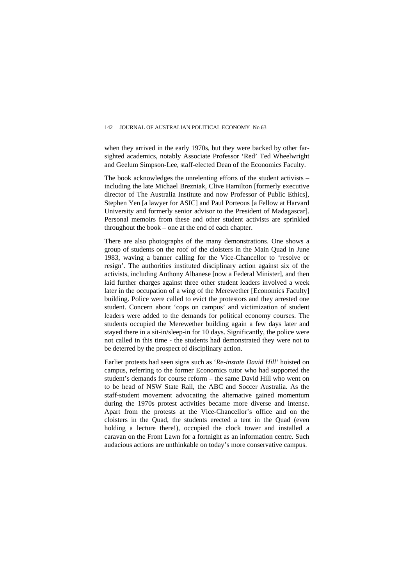when they arrived in the early 1970s, but they were backed by other farsighted academics, notably Associate Professor 'Red' Ted Wheelwright and Geelum Simpson-Lee, staff-elected Dean of the Economics Faculty.

The book acknowledges the unrelenting efforts of the student activists – including the late Michael Brezniak, Clive Hamilton [formerly executive director of The Australia Institute and now Professor of Public Ethics], Stephen Yen [a lawyer for ASIC] and Paul Porteous [a Fellow at Harvard University and formerly senior advisor to the President of Madagascar]. Personal memoirs from these and other student activists are sprinkled throughout the book – one at the end of each chapter.

There are also photographs of the many demonstrations. One shows a group of students on the roof of the cloisters in the Main Quad in June 1983, waving a banner calling for the Vice-Chancellor to 'resolve or resign'. The authorities instituted disciplinary action against six of the activists, including Anthony Albanese [now a Federal Minister], and then laid further charges against three other student leaders involved a week later in the occupation of a wing of the Merewether [Economics Faculty] building. Police were called to evict the protestors and they arrested one student. Concern about 'cops on campus' and victimization of student leaders were added to the demands for political economy courses. The students occupied the Merewether building again a few days later and stayed there in a sit-in/sleep-in for 10 days. Significantly, the police were not called in this time - the students had demonstrated they were not to be deterred by the prospect of disciplinary action.

Earlier protests had seen signs such as '*Re-instate David Hill'* hoisted on campus, referring to the former Economics tutor who had supported the student's demands for course reform – the same David Hill who went on to be head of NSW State Rail, the ABC and Soccer Australia. As the staff-student movement advocating the alternative gained momentum during the 1970s protest activities became more diverse and intense. Apart from the protests at the Vice-Chancellor's office and on the cloisters in the Quad, the students erected a tent in the Quad (even holding a lecture there!), occupied the clock tower and installed a caravan on the Front Lawn for a fortnight as an information centre. Such audacious actions are unthinkable on today's more conservative campus.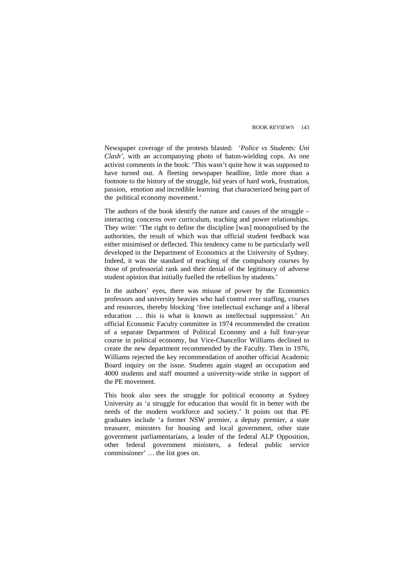Newspaper coverage of the protests blasted: '*Police vs Students: Uni Clash'*, with an accompanying photo of baton-wielding cops. As one activist comments in the book: 'This wasn't quite how it was supposed to have turned out. A fleeting newspaper headline, little more than a footnote to the history of the struggle, hid years of hard work, frustration, passion, emotion and incredible learning that characterized being part of the political economy movement.'

The authors of the book identify the nature and causes of the struggle – interacting concerns over curriculum, teaching and power relationships. They write: 'The right to define the discipline [was] monopolised by the authorities, the result of which was that official student feedback was either minimised or deflected. This tendency came to be particularly well developed in the Department of Economics at the University of Sydney. Indeed, it was the standard of teaching of the compulsory courses by those of professorial rank and their denial of the legitimacy of adverse student opinion that initially fuelled the rebellion by students.'

In the authors' eyes, there was misuse of power by the Economics professors and university heavies who had control over staffing, courses and resources, thereby blocking 'free intellectual exchange and a liberal education … this is what is known as intellectual suppression.' An official Economic Faculty committee in 1974 recommended the creation of a separate Department of Political Economy and a full four-year course in political economy, but Vice-Chancellor Williams declined to create the new department recommended by the Faculty. Then in 1976, Williams rejected the key recommendation of another official Academic Board inquiry on the issue. Students again staged an occupation and 4000 students and staff mounted a university-wide strike in support of the PE movement.

This book also sees the struggle for political economy at Sydney University as 'a struggle for education that would fit in better with the needs of the modern workforce and society.' It points out that PE graduates include 'a former NSW premier, a deputy premier, a state treasurer, ministers for housing and local government, other state government parliamentarians, a leader of the federal ALP Opposition, other federal government ministers, a federal public service commissioner' … the list goes on.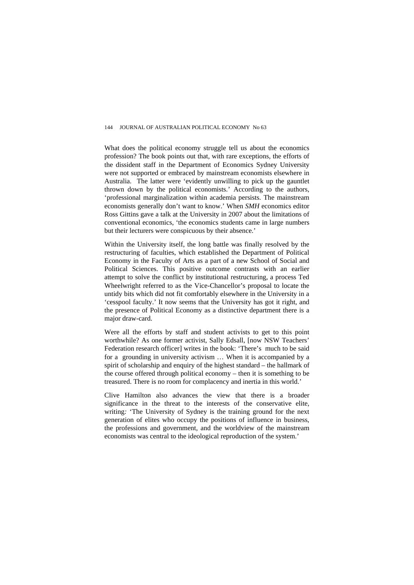What does the political economy struggle tell us about the economics profession? The book points out that, with rare exceptions, the efforts of the dissident staff in the Department of Economics Sydney University were not supported or embraced by mainstream economists elsewhere in Australia. The latter were 'evidently unwilling to pick up the gauntlet thrown down by the political economists.' According to the authors, 'professional marginalization within academia persists. The mainstream economists generally don't want to know.' When *SMH* economics editor Ross Gittins gave a talk at the University in 2007 about the limitations of conventional economics, 'the economics students came in large numbers but their lecturers were conspicuous by their absence.'

Within the University itself, the long battle was finally resolved by the restructuring of faculties, which established the Department of Political Economy in the Faculty of Arts as a part of a new School of Social and Political Sciences. This positive outcome contrasts with an earlier attempt to solve the conflict by institutional restructuring, a process Ted Wheelwright referred to as the Vice-Chancellor's proposal to locate the untidy bits which did not fit comfortably elsewhere in the University in a 'cesspool faculty.' It now seems that the University has got it right, and the presence of Political Economy as a distinctive department there is a major draw-card.

Were all the efforts by staff and student activists to get to this point worthwhile? As one former activist, Sally Edsall, [now NSW Teachers' Federation research officer] writes in the book: 'There's much to be said for a grounding in university activism … When it is accompanied by a spirit of scholarship and enquiry of the highest standard – the hallmark of the course offered through political economy – then it is something to be treasured. There is no room for complacency and inertia in this world.'

Clive Hamilton also advances the view that there is a broader significance in the threat to the interests of the conservative elite, writing*:* 'The University of Sydney is the training ground for the next generation of elites who occupy the positions of influence in business, the professions and government, and the worldview of the mainstream economists was central to the ideological reproduction of the system.'